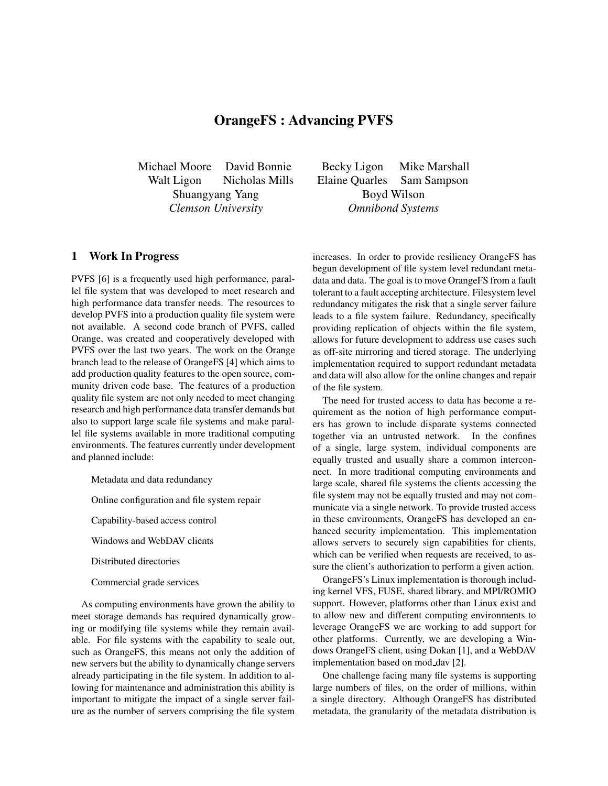## **OrangeFS : Advancing PVFS**

Shuangyang Yang Boyd Wilson *Clemson University Omnibond Systems*

## **1 Work In Progress**

PVFS [6] is a frequently used high performance, parallel file system that was developed to meet research and high performance data transfer needs. The resources to develop PVFS into a production quality file system were not available. A second code branch of PVFS, called Orange, was created and cooperatively developed with PVFS over the last two years. The work on the Orange branch lead to the release of OrangeFS [4] which aims to add production quality features to the open source, community driven code base. The features of a production quality file system are not only needed to meet changing research and high performance data transfer demands but also to support large scale file systems and make parallel file systems available in more traditional computing environments. The features currently under development and planned include:

- Metadata and data redundancy
- Online configuration and file system repair
- Capability-based access control
- Windows and WebDAV clients
- Distributed directories
- Commercial grade services

As computing environments have grown the ability to meet storage demands has required dynamically growing or modifying file systems while they remain available. For file systems with the capability to scale out, such as OrangeFS, this means not only the addition of new servers but the ability to dynamically change servers already participating in the file system. In addition to allowing for maintenance and administration this ability is important to mitigate the impact of a single server failure as the number of servers comprising the file system

Michael Moore David Bonnie Becky Ligon Mike Marshall Walt Ligon Nicholas Mills Elaine Quarles Sam Sampson

> increases. In order to provide resiliency OrangeFS has begun development of file system level redundant metadata and data. The goal is to move OrangeFS from a fault tolerant to a fault accepting architecture. Filesystem level redundancy mitigates the risk that a single server failure leads to a file system failure. Redundancy, specifically providing replication of objects within the file system, allows for future development to address use cases such as off-site mirroring and tiered storage. The underlying implementation required to support redundant metadata and data will also allow for the online changes and repair of the file system.

> The need for trusted access to data has become a requirement as the notion of high performance computers has grown to include disparate systems connected together via an untrusted network. In the confines of a single, large system, individual components are equally trusted and usually share a common interconnect. In more traditional computing environments and large scale, shared file systems the clients accessing the file system may not be equally trusted and may not communicate via a single network. To provide trusted access in these environments, OrangeFS has developed an enhanced security implementation. This implementation allows servers to securely sign capabilities for clients, which can be verified when requests are received, to assure the client's authorization to perform a given action.

> OrangeFS's Linux implementation is thorough including kernel VFS, FUSE, shared library, and MPI/ROMIO support. However, platforms other than Linux exist and to allow new and different computing environments to leverage OrangeFS we are working to add support for other platforms. Currently, we are developing a Windows OrangeFS client, using Dokan [1], and a WebDAV implementation based on mod dav [2].

> One challenge facing many file systems is supporting large numbers of files, on the order of millions, within a single directory. Although OrangeFS has distributed metadata, the granularity of the metadata distribution is